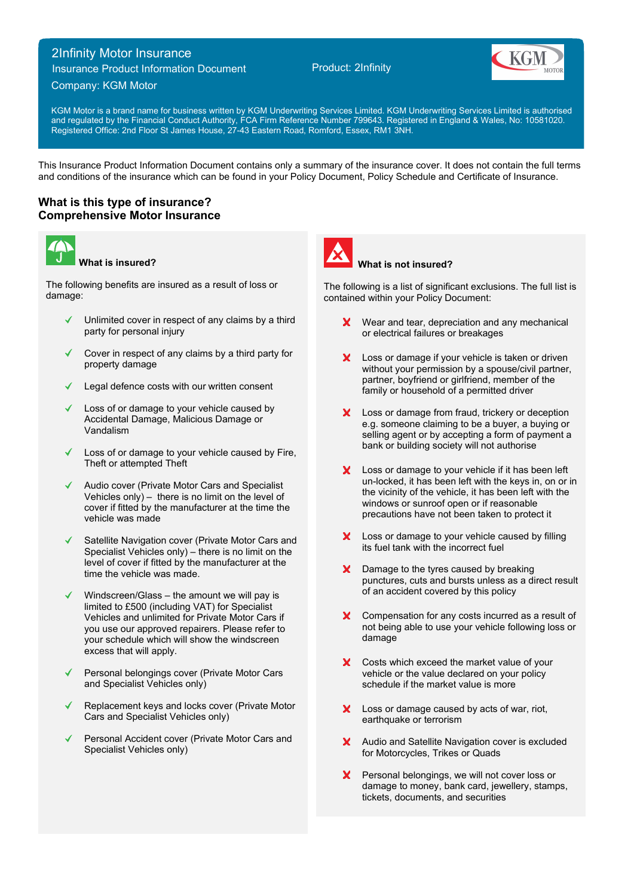# 2Infinity Motor Insurance

Insurance Product Information Document

## Company: KGM Motor

Product: 2Infinity



KGM Motor is a brand name for business written by KGM Underwriting Services Limited. KGM Underwriting Services Limited is authorised and regulated by the Financial Conduct Authority, FCA Firm Reference Number 799643. Registered in England & Wales, No: 10581020. Registered Office: 2nd Floor St James House, 27-43 Eastern Road, Romford, Essex, RM1 3NH.

This Insurance Product Information Document contains only a summary of the insurance cover. It does not contain the full terms and conditions of the insurance which can be found in your Policy Document, Policy Schedule and Certificate of Insurance.

## **What is this type of insurance? Comprehensive Motor Insurance**



**What is insured?**

The following benefits are insured as a result of loss or damage:

- Unlimited cover in respect of any claims by a third party for personal injury
- Cover in respect of any claims by a third party for property damage
- Legal defence costs with our written consent
- Loss of or damage to your vehicle caused by Accidental Damage, Malicious Damage or Vandalism
- Loss of or damage to your vehicle caused by Fire, Theft or attempted Theft
- Audio cover (Private Motor Cars and Specialist Vehicles only)  $-$  there is no limit on the level of cover if fitted by the manufacturer at the time the vehicle was made
- Satellite Navigation cover (Private Motor Cars and Specialist Vehicles only) – there is no limit on the level of cover if fitted by the manufacturer at the time the vehicle was made.
- Windscreen/Glass the amount we will pay is limited to £500 (including VAT) for Specialist Vehicles and unlimited for Private Motor Cars if you use our approved repairers. Please refer to your schedule which will show the windscreen excess that will apply.
- Personal belongings cover (Private Motor Cars and Specialist Vehicles only)
- Replacement keys and locks cover (Private Motor Cars and Specialist Vehicles only)
- Personal Accident cover (Private Motor Cars and Specialist Vehicles only)



## **What is not insured?**

The following is a list of significant exclusions. The full list is contained within your Policy Document:

- Wear and tear, depreciation and any mechanical  $\mathbf{x}$ or electrical failures or breakages
- X Loss or damage if your vehicle is taken or driven without your permission by a spouse/civil partner, partner, boyfriend or girlfriend, member of the family or household of a permitted driver
- $\mathbf{x}$ Loss or damage from fraud, trickery or deception e.g. someone claiming to be a buyer, a buying or selling agent or by accepting a form of payment a bank or building society will not authorise
- X Loss or damage to your vehicle if it has been left un-locked, it has been left with the keys in, on or in the vicinity of the vehicle, it has been left with the windows or sunroof open or if reasonable precautions have not been taken to protect it
- Loss or damage to your vehicle caused by filling X. its fuel tank with the incorrect fuel
- X Damage to the tyres caused by breaking punctures, cuts and bursts unless as a direct result of an accident covered by this policy
- X Compensation for any costs incurred as a result of not being able to use your vehicle following loss or damage
- X Costs which exceed the market value of your vehicle or the value declared on your policy schedule if the market value is more
- X Loss or damage caused by acts of war, riot, earthquake or terrorism
- X Audio and Satellite Navigation cover is excluded for Motorcycles, Trikes or Quads
- Personal belongings, we will not cover loss or  $\mathsf{x}^$ damage to money, bank card, jewellery, stamps, tickets, documents, and securities